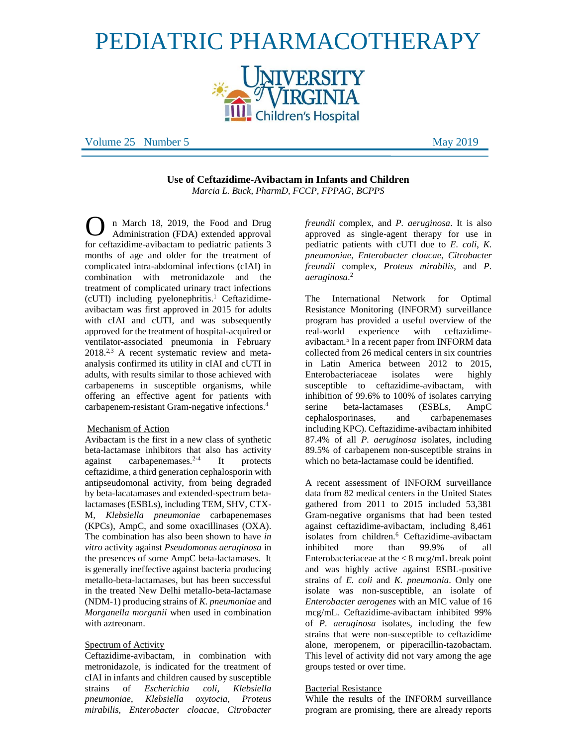# PEDIATRIC PHARMACOTHERAPY



Volume 25 Number 5 May 2019

**Use of Ceftazidime-Avibactam in Infants and Children**  *Marcia L. Buck, PharmD, FCCP, FPPAG, BCPPS*

n March 18, 2019, the Food and Drug Administration (FDA) extended approval for ceftazidime-avibactam to pediatric patients 3 months of age and older for the treatment of complicated intra-abdominal infections (cIAI) in combination with metronidazole and the treatment of complicated urinary tract infections (cUTI) including pyelonephritis. <sup>1</sup> Ceftazidimeavibactam was first approved in 2015 for adults with cIAI and cUTI, and was subsequently approved for the treatment of hospital-acquired or ventilator-associated pneumonia in February 2018.2,3 A recent systematic review and metaanalysis confirmed its utility in cIAI and cUTI in adults, with results similar to those achieved with carbapenems in susceptible organisms, while offering an effective agent for patients with carbapenem-resistant Gram-negative infections.<sup>4</sup> O

#### Mechanism of Action

Avibactam is the first in a new class of synthetic beta-lactamase inhibitors that also has activity against carbapenemases.<sup>2-4</sup> It protects ceftazidime, a third generation cephalosporin with antipseudomonal activity, from being degraded by beta-lacatamases and extended-spectrum betalactamases (ESBLs), including TEM, SHV, CTX-M, *Klebsiella pneumoniae* carbapenemases (KPCs), AmpC, and some oxacillinases (OXA). The combination has also been shown to have *in vitro* activity against *Pseudomonas aeruginosa* in the presences of some AmpC beta-lactamases. It is generally ineffective against bacteria producing metallo-beta-lactamases, but has been successful in the treated New Delhi metallo-beta-lactamase (NDM-1) producing strains of *K. pneumoniae* and *Morganella morganii* when used in combination with aztreonam.

#### Spectrum of Activity

Ceftazidime-avibactam, in combination with metronidazole, is indicated for the treatment of cIAI in infants and children caused by susceptible strains of *Escherichia coli*, *Klebsiella pneumoniae*, *Klebsiella oxytocia*, *Proteus mirabilis*, *Enterobacter cloacae*, *Citrobacter* *freundii* complex, and *P. aeruginosa*. It is also approved as single-agent therapy for use in pediatric patients with cUTI due to *E. coli*, *K. pneumoniae*, *Enterobacter cloacae*, *Citrobacter freundii* complex, *Proteus mirabilis*, and *P. aeruginosa*. 2

The International Network for Optimal Resistance Monitoring (INFORM) surveillance program has provided a useful overview of the real-world experience with ceftazidimeavibactam.<sup>5</sup> In a recent paper from INFORM data collected from 26 medical centers in six countries in Latin America between 2012 to 2015, Enterobacteriaceae isolates were highly susceptible to ceftazidime-avibactam, with inhibition of 99.6% to 100% of isolates carrying serine beta-lactamases (ESBLs, AmpC cephalosporinases, and carbapenemases including KPC). Ceftazidime-avibactam inhibited 87.4% of all *P. aeruginosa* isolates, including 89.5% of carbapenem non-susceptible strains in which no beta-lactamase could be identified.

A recent assessment of INFORM surveillance data from 82 medical centers in the United States gathered from 2011 to 2015 included 53,381 Gram-negative organisms that had been tested against ceftazidime-avibactam, including 8,461 isolates from children.<sup>6</sup> Ceftazidime-avibactam inhibited more than 99.9% of all Enterobacteriaceae at the  $\leq 8$  mcg/mL break point and was highly active against ESBL-positive strains of *E. coli* and *K. pneumonia*. Only one isolate was non-susceptible, an isolate of *Enterobacter aerogenes* with an MIC value of 16 mcg/mL. Ceftazidime-avibactam inhibited 99% of *P. aeruginosa* isolates, including the few strains that were non-susceptible to ceftazidime alone, meropenem, or piperacillin-tazobactam. This level of activity did not vary among the age groups tested or over time.

#### Bacterial Resistance

While the results of the INFORM surveillance program are promising, there are already reports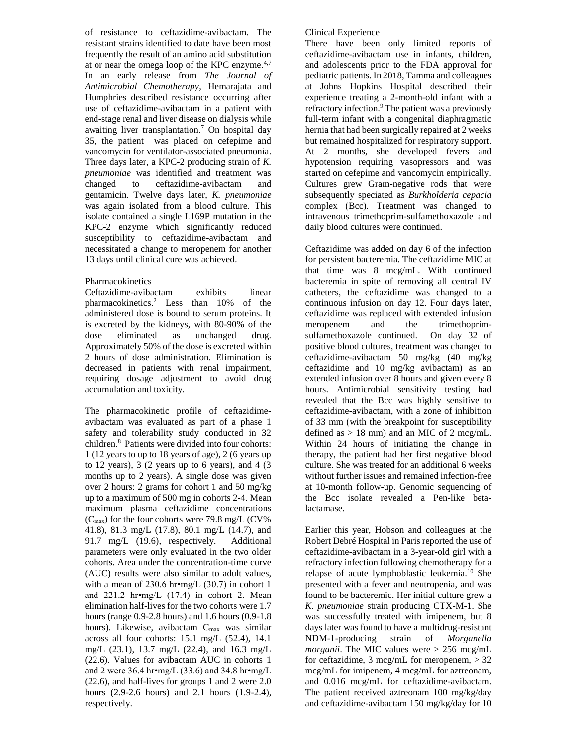of resistance to ceftazidime-avibactam. The resistant strains identified to date have been most frequently the result of an amino acid substitution at or near the omega loop of the KPC enzyme. $4,7$ In an early release from *The Journal of Antimicrobial Chemotherapy*, Hemarajata and Humphries described resistance occurring after use of ceftazidime-avibactam in a patient with end-stage renal and liver disease on dialysis while awaiting liver transplantation.<sup>7</sup> On hospital day 35, the patient was placed on cefepime and vancomycin for ventilator-associated pneumonia. Three days later, a KPC-2 producing strain of *K. pneumoniae* was identified and treatment was changed to ceftazidime-avibactam and gentamicin. Twelve days later, *K. pneumoniae* was again isolated from a blood culture. This isolate contained a single L169P mutation in the KPC-2 enzyme which significantly reduced susceptibility to ceftazidime-avibactam and necessitated a change to meropenem for another 13 days until clinical cure was achieved.

## Pharmacokinetics

Ceftazidime-avibactam exhibits linear pharmacokinetics.<sup>2</sup> Less than 10% of the administered dose is bound to serum proteins. It is excreted by the kidneys, with 80-90% of the dose eliminated as unchanged drug. Approximately 50% of the dose is excreted within 2 hours of dose administration. Elimination is decreased in patients with renal impairment, requiring dosage adjustment to avoid drug accumulation and toxicity.

The pharmacokinetic profile of ceftazidimeavibactam was evaluated as part of a phase 1 safety and tolerability study conducted in 32 children.<sup>8</sup> Patients were divided into four cohorts: 1 (12 years to up to 18 years of age), 2 (6 years up to  $12$  years),  $3$  ( $2$  years up to  $6$  years), and  $4$  ( $3$ months up to 2 years). A single dose was given over 2 hours: 2 grams for cohort 1 and 50 mg/kg up to a maximum of 500 mg in cohorts 2-4. Mean maximum plasma ceftazidime concentrations  $(C_{\text{max}})$  for the four cohorts were 79.8 mg/L (CV%) 41.8), 81.3 mg/L (17.8), 80.1 mg/L (14.7), and 91.7 mg/L (19.6), respectively. Additional parameters were only evaluated in the two older cohorts. Area under the concentration-time curve (AUC) results were also similar to adult values, with a mean of 230.6 hr•mg/L  $(30.7)$  in cohort 1 and 221.2 hr•mg/L (17.4) in cohort 2. Mean elimination half-lives for the two cohorts were 1.7 hours (range 0.9-2.8 hours) and 1.6 hours (0.9-1.8 hours). Likewise, avibactam  $C_{\text{max}}$  was similar across all four cohorts: 15.1 mg/L (52.4), 14.1 mg/L (23.1), 13.7 mg/L (22.4), and 16.3 mg/L (22.6). Values for avibactam AUC in cohorts 1 and 2 were 36.4 hr•mg/L (33.6) and 34.8 hr•mg/L (22.6), and half-lives for groups 1 and 2 were 2.0 hours (2.9-2.6 hours) and 2.1 hours (1.9-2.4), respectively.

## Clinical Experience

There have been only limited reports of ceftazidime-avibactam use in infants, children, and adolescents prior to the FDA approval for pediatric patients. In 2018, Tamma and colleagues at Johns Hopkins Hospital described their experience treating a 2-month-old infant with a refractory infection.<sup>9</sup> The patient was a previously full-term infant with a congenital diaphragmatic hernia that had been surgically repaired at 2 weeks but remained hospitalized for respiratory support. At 2 months, she developed fevers and hypotension requiring vasopressors and was started on cefepime and vancomycin empirically. Cultures grew Gram-negative rods that were subsequently speciated as *Burkholderia cepacia* complex (Bcc). Treatment was changed to intravenous trimethoprim-sulfamethoxazole and daily blood cultures were continued.

Ceftazidime was added on day 6 of the infection for persistent bacteremia. The ceftazidime MIC at that time was 8 mcg/mL. With continued bacteremia in spite of removing all central IV catheters, the ceftazidime was changed to a continuous infusion on day 12. Four days later, ceftazidime was replaced with extended infusion meropenem and the trimethoprimsulfamethoxazole continued. On day 32 of positive blood cultures, treatment was changed to ceftazidime-avibactam 50 mg/kg (40 mg/kg ceftazidime and 10 mg/kg avibactam) as an extended infusion over 8 hours and given every 8 hours. Antimicrobial sensitivity testing had revealed that the Bcc was highly sensitive to ceftazidime-avibactam, with a zone of inhibition of 33 mm (with the breakpoint for susceptibility defined as  $> 18$  mm) and an MIC of 2 mcg/mL. Within 24 hours of initiating the change in therapy, the patient had her first negative blood culture. She was treated for an additional 6 weeks without further issues and remained infection-free at 10-month follow-up. Genomic sequencing of the Bcc isolate revealed a Pen-like betalactamase.

Earlier this year, Hobson and colleagues at the Robert Debré Hospital in Paris reported the use of ceftazidime-avibactam in a 3-year-old girl with a refractory infection following chemotherapy for a relapse of acute lymphoblastic leukemia.<sup>10</sup> She presented with a fever and neutropenia, and was found to be bacteremic. Her initial culture grew a *K. pneumoniae* strain producing CTX-M-1. She was successfully treated with imipenem, but 8 days later was found to have a multidrug-resistant NDM-1-producing strain of *Morganella morganii*. The MIC values were > 256 mcg/mL for ceftazidime, 3 mcg/mL for meropenem,  $> 32$ mcg/mL for imipenem, 4 mcg/mL for aztreonam, and 0.016 mcg/mL for ceftazidime-avibactam. The patient received aztreonam 100 mg/kg/day and ceftazidime-avibactam 150 mg/kg/day for 10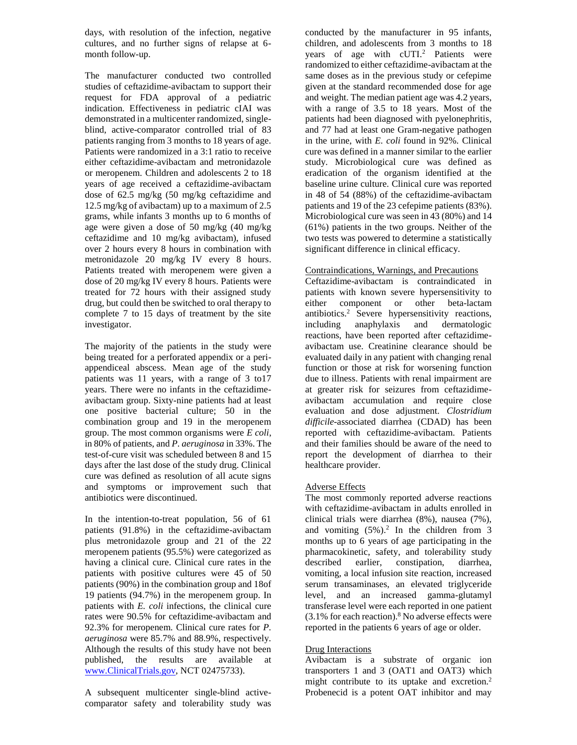days, with resolution of the infection, negative cultures, and no further signs of relapse at 6 month follow-up.

The manufacturer conducted two controlled studies of ceftazidime-avibactam to support their request for FDA approval of a pediatric indication. Effectiveness in pediatric cIAI was demonstrated in a multicenter randomized, singleblind, active-comparator controlled trial of 83 patients ranging from 3 months to 18 years of age. Patients were randomized in a 3:1 ratio to receive either ceftazidime-avibactam and metronidazole or meropenem. Children and adolescents 2 to 18 years of age received a ceftazidime-avibactam dose of 62.5 mg/kg (50 mg/kg ceftazidime and 12.5 mg/kg of avibactam) up to a maximum of 2.5 grams, while infants 3 months up to 6 months of age were given a dose of 50 mg/kg (40 mg/kg ceftazidime and 10 mg/kg avibactam), infused over 2 hours every 8 hours in combination with metronidazole 20 mg/kg IV every 8 hours. Patients treated with meropenem were given a dose of 20 mg/kg IV every 8 hours. Patients were treated for 72 hours with their assigned study drug, but could then be switched to oral therapy to complete 7 to 15 days of treatment by the site investigator.

The majority of the patients in the study were being treated for a perforated appendix or a periappendiceal abscess. Mean age of the study patients was 11 years, with a range of 3 to17 years. There were no infants in the ceftazidimeavibactam group. Sixty-nine patients had at least one positive bacterial culture; 50 in the combination group and 19 in the meropenem group. The most common organisms were *E coli*, in 80% of patients, and *P. aeruginosa* in 33%. The test-of-cure visit was scheduled between 8 and 15 days after the last dose of the study drug. Clinical cure was defined as resolution of all acute signs and symptoms or improvement such that antibiotics were discontinued.

In the intention-to-treat population, 56 of 61 patients (91.8%) in the ceftazidime-avibactam plus metronidazole group and 21 of the 22 meropenem patients (95.5%) were categorized as having a clinical cure. Clinical cure rates in the patients with positive cultures were 45 of 50 patients (90%) in the combination group and 18of 19 patients (94.7%) in the meropenem group. In patients with *E. coli* infections, the clinical cure rates were 90.5% for ceftazidime-avibactam and 92.3% for meropenem. Clinical cure rates for *P. aeruginosa* were 85.7% and 88.9%, respectively. Although the results of this study have not been published, the results are available at [www.ClinicalTrials.gov,](http://www.clinicaltrials.gov/) NCT 02475733).

A subsequent multicenter single-blind activecomparator safety and tolerability study was conducted by the manufacturer in 95 infants, children, and adolescents from 3 months to 18 years of age with cUTI.<sup>2</sup> Patients were randomized to either ceftazidime-avibactam at the same doses as in the previous study or cefepime given at the standard recommended dose for age and weight. The median patient age was 4.2 years, with a range of 3.5 to 18 years. Most of the patients had been diagnosed with pyelonephritis, and 77 had at least one Gram-negative pathogen in the urine, with *E. coli* found in 92%. Clinical cure was defined in a manner similar to the earlier study. Microbiological cure was defined as eradication of the organism identified at the baseline urine culture. Clinical cure was reported in 48 of 54 (88%) of the ceftazidime-avibactam patients and 19 of the 23 cefepime patients (83%). Microbiological cure was seen in 43 (80%) and 14 (61%) patients in the two groups. Neither of the two tests was powered to determine a statistically significant difference in clinical efficacy.

## Contraindications, Warnings, and Precautions

Ceftazidime-avibactam is contraindicated in patients with known severe hypersensitivity to either component or other beta-lactam antibiotics. <sup>2</sup> Severe hypersensitivity reactions, including anaphylaxis and dermatologic reactions, have been reported after ceftazidimeavibactam use. Creatinine clearance should be evaluated daily in any patient with changing renal function or those at risk for worsening function due to illness. Patients with renal impairment are at greater risk for seizures from ceftazidimeavibactam accumulation and require close evaluation and dose adjustment. *Clostridium difficile*-associated diarrhea (CDAD) has been reported with ceftazidime-avibactam. Patients and their families should be aware of the need to report the development of diarrhea to their healthcare provider.

# Adverse Effects

The most commonly reported adverse reactions with ceftazidime-avibactam in adults enrolled in clinical trials were diarrhea (8%), nausea (7%), and vomiting  $(5\%)$ .<sup>2</sup> In the children from 3 months up to 6 years of age participating in the pharmacokinetic, safety, and tolerability study described earlier, constipation, diarrhea, vomiting, a local infusion site reaction, increased serum transaminases, an elevated triglyceride level, and an increased gamma-glutamyl transferase level were each reported in one patient  $(3.1\%$  for each reaction).<sup>8</sup> No adverse effects were reported in the patients 6 years of age or older.

#### Drug Interactions

Avibactam is a substrate of organic ion transporters 1 and 3 (OAT1 and OAT3) which might contribute to its uptake and excretion.<sup>2</sup> Probenecid is a potent OAT inhibitor and may